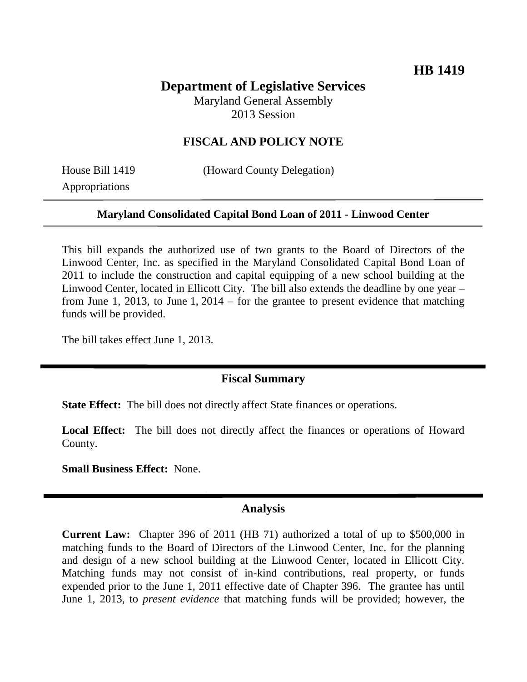# **Department of Legislative Services**

Maryland General Assembly 2013 Session

### **FISCAL AND POLICY NOTE**

Appropriations

House Bill 1419 (Howard County Delegation)

#### **Maryland Consolidated Capital Bond Loan of 2011 - Linwood Center**

This bill expands the authorized use of two grants to the Board of Directors of the Linwood Center, Inc. as specified in the Maryland Consolidated Capital Bond Loan of 2011 to include the construction and capital equipping of a new school building at the Linwood Center, located in Ellicott City. The bill also extends the deadline by one year – from June 1, 2013, to June 1, 2014 – for the grantee to present evidence that matching funds will be provided.

The bill takes effect June 1, 2013.

### **Fiscal Summary**

**State Effect:** The bill does not directly affect State finances or operations.

Local Effect: The bill does not directly affect the finances or operations of Howard County.

**Small Business Effect:** None.

#### **Analysis**

**Current Law:** Chapter 396 of 2011 (HB 71) authorized a total of up to \$500,000 in matching funds to the Board of Directors of the Linwood Center, Inc. for the planning and design of a new school building at the Linwood Center, located in Ellicott City. Matching funds may not consist of in-kind contributions, real property, or funds expended prior to the June 1, 2011 effective date of Chapter 396. The grantee has until June 1, 2013, to *present evidence* that matching funds will be provided; however, the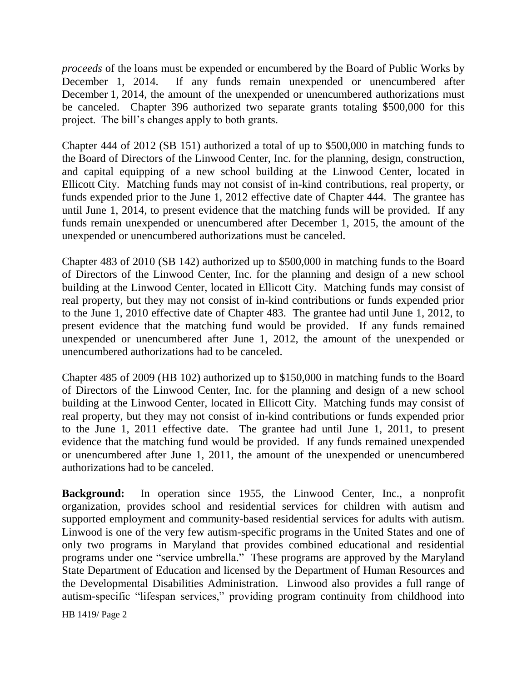*proceeds* of the loans must be expended or encumbered by the Board of Public Works by December 1, 2014. If any funds remain unexpended or unencumbered after December 1, 2014, the amount of the unexpended or unencumbered authorizations must be canceled. Chapter 396 authorized two separate grants totaling \$500,000 for this project. The bill's changes apply to both grants.

Chapter 444 of 2012 (SB 151) authorized a total of up to \$500,000 in matching funds to the Board of Directors of the Linwood Center, Inc. for the planning, design, construction, and capital equipping of a new school building at the Linwood Center, located in Ellicott City. Matching funds may not consist of in-kind contributions, real property, or funds expended prior to the June 1, 2012 effective date of Chapter 444. The grantee has until June 1, 2014, to present evidence that the matching funds will be provided. If any funds remain unexpended or unencumbered after December 1, 2015, the amount of the unexpended or unencumbered authorizations must be canceled.

Chapter 483 of 2010 (SB 142) authorized up to \$500,000 in matching funds to the Board of Directors of the Linwood Center, Inc. for the planning and design of a new school building at the Linwood Center, located in Ellicott City. Matching funds may consist of real property, but they may not consist of in-kind contributions or funds expended prior to the June 1, 2010 effective date of Chapter 483. The grantee had until June 1, 2012, to present evidence that the matching fund would be provided. If any funds remained unexpended or unencumbered after June 1, 2012, the amount of the unexpended or unencumbered authorizations had to be canceled.

Chapter 485 of 2009 (HB 102) authorized up to \$150,000 in matching funds to the Board of Directors of the Linwood Center, Inc. for the planning and design of a new school building at the Linwood Center, located in Ellicott City. Matching funds may consist of real property, but they may not consist of in-kind contributions or funds expended prior to the June 1, 2011 effective date. The grantee had until June 1, 2011, to present evidence that the matching fund would be provided. If any funds remained unexpended or unencumbered after June 1, 2011, the amount of the unexpended or unencumbered authorizations had to be canceled.

**Background:** In operation since 1955, the Linwood Center, Inc., a nonprofit organization, provides school and residential services for children with autism and supported employment and community-based residential services for adults with autism. Linwood is one of the very few autism-specific programs in the United States and one of only two programs in Maryland that provides combined educational and residential programs under one "service umbrella." These programs are approved by the Maryland State Department of Education and licensed by the Department of Human Resources and the Developmental Disabilities Administration. Linwood also provides a full range of autism-specific "lifespan services," providing program continuity from childhood into

HB 1419/ Page 2